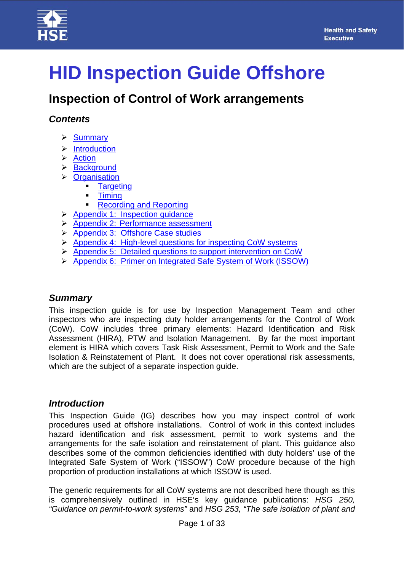

# **HID Inspection Guide Offshore**

# **Inspection of Control of Work arrangements**

# *Contents*

- $\triangleright$  [Summary](#page-0-0)
- $\triangleright$  [Introduction](#page-0-1)
- $\triangleright$  [Action](#page-1-0)
- $\triangleright$  [Background](#page-2-0)
- ▶ [Organisation](#page-4-0)
	- **[Targeting](#page-4-1)** 
		- **[Timing](#page-4-2)**
		- [Recording and Reporting](#page-4-3)
- > Appendix 1: Inspection quidance
- [Appendix 2:](#page-12-0) [Performance assessment](#page-12-0)
- [Appendix 3: Offshore Case studies](#page-15-0)
- [Appendix 4: High-level questions for inspecting CoW systems](#page-21-0)
- [Appendix 5: Detailed questions to support intervention on CoW](#page-22-0)
- [Appendix 6: Primer on Integrated Safe System of Work \(ISSOW\)](#page-28-0)

# <span id="page-0-0"></span>*Summary*

This inspection guide is for use by Inspection Management Team and other inspectors who are inspecting duty holder arrangements for the Control of Work (CoW). CoW includes three primary elements: Hazard Identification and Risk Assessment (HIRA), PTW and Isolation Management. By far the most important element is HIRA which covers Task Risk Assessment, Permit to Work and the Safe Isolation & Reinstatement of Plant. It does not cover operational risk assessments, which are the subject of a separate inspection guide.

# <span id="page-0-1"></span>*Introduction*

This Inspection Guide (IG) describes how you may inspect control of work procedures used at offshore installations. Control of work in this context includes hazard identification and risk assessment, permit to work systems and the arrangements for the safe isolation and reinstatement of plant. This guidance also describes some of the common deficiencies identified with duty holders' use of the Integrated Safe System of Work ("ISSOW") CoW procedure because of the high proportion of production installations at which ISSOW is used.

The generic requirements for all CoW systems are not described here though as this is comprehensively outlined in HSE's key guidance publications: *HSG 250, "Guidance on permit-to-work systems"* and *HSG 253, "The safe isolation of plant and*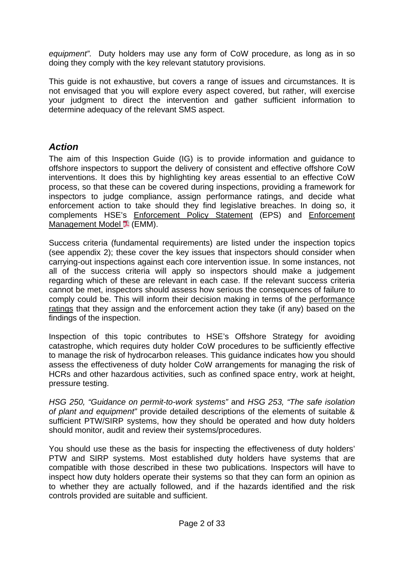*equipment".* Duty holders may use any form of CoW procedure, as long as in so doing they comply with the key relevant statutory provisions.

This guide is not exhaustive, but covers a range of issues and circumstances. It is not envisaged that you will explore every aspect covered, but rather, will exercise your judgment to direct the intervention and gather sufficient information to determine adequacy of the relevant SMS aspect.

# <span id="page-1-0"></span>*Action*

The aim of this Inspection Guide (IG) is to provide information and guidance to offshore inspectors to support the delivery of consistent and effective offshore CoW interventions. It does this by highlighting key areas essential to an effective CoW process, so that these can be covered during inspections, providing a framework for inspectors to judge compliance, assign performance ratings, and decide what enforcement action to take should they find legislative breaches. In doing so, it complements HSE's [Enforcement Policy Statement](http://www.hse.gov.uk/enforce/enforcepolicy.htm) (EPS) and [Enforcement](http://www.hse.gov.uk/enforce/emm.pdf)  [Management Model](http://www.hse.gov.uk/enforce/emm.pdf) **L** (EMM).

Success criteria (fundamental requirements) are listed under the inspection topics (see appendix 2); these cover the key issues that inspectors should consider when carrying-out inspections against each core intervention issue. In some instances, not all of the success criteria will apply so inspectors should make a judgement regarding which of these are relevant in each case. If the relevant success criteria cannot be met, inspectors should assess how serious the consequences of failure to comply could be. This will inform their decision making in terms of the performance ratings that they assign and the enforcement action they take (if any) based on the findings of the inspection.

Inspection of this topic contributes to HSE's Offshore Strategy for avoiding catastrophe, which requires duty holder CoW procedures to be sufficiently effective to manage the risk of hydrocarbon releases. This guidance indicates how you should assess the effectiveness of duty holder CoW arrangements for managing the risk of HCRs and other hazardous activities, such as confined space entry, work at height, pressure testing.

*HSG 250, "Guidance on permit-to-work systems"* and *HSG 253, "The safe isolation of plant and equipment"* provide detailed descriptions of the elements of suitable & sufficient PTW/SIRP systems, how they should be operated and how duty holders should monitor, audit and review their systems/procedures.

You should use these as the basis for inspecting the effectiveness of duty holders' PTW and SIRP systems. Most established duty holders have systems that are compatible with those described in these two publications. Inspectors will have to inspect how duty holders operate their systems so that they can form an opinion as to whether they are actually followed, and if the hazards identified and the risk controls provided are suitable and sufficient.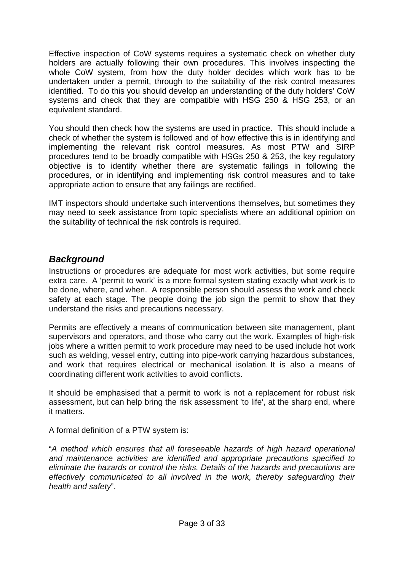Effective inspection of CoW systems requires a systematic check on whether duty holders are actually following their own procedures. This involves inspecting the whole CoW system, from how the duty holder decides which work has to be undertaken under a permit, through to the suitability of the risk control measures identified. To do this you should develop an understanding of the duty holders' CoW systems and check that they are compatible with HSG 250 & HSG 253, or an equivalent standard.

You should then check how the systems are used in practice. This should include a check of whether the system is followed and of how effective this is in identifying and implementing the relevant risk control measures. As most PTW and SIRP procedures tend to be broadly compatible with HSGs 250 & 253, the key regulatory objective is to identify whether there are systematic failings in following the procedures, or in identifying and implementing risk control measures and to take appropriate action to ensure that any failings are rectified.

IMT inspectors should undertake such interventions themselves, but sometimes they may need to seek assistance from topic specialists where an additional opinion on the suitability of technical the risk controls is required.

# <span id="page-2-0"></span>*Background*

Instructions or procedures are adequate for most work activities, but some require extra care. A 'permit to work' is a more formal system stating exactly what work is to be done, where, and when. A responsible person should assess the work and check safety at each stage. The people doing the job sign the permit to show that they understand the risks and precautions necessary.

Permits are effectively a means of communication between site management, plant supervisors and operators, and those who carry out the work. Examples of high-risk jobs where a written permit to work procedure may need to be used include hot work such as welding, vessel entry, cutting into pipe-work carrying hazardous substances, and work that requires electrical or mechanical isolation. It is also a means of coordinating different work activities to avoid conflicts.

It should be emphasised that a permit to work is not a replacement for robust risk assessment, but can help bring the risk assessment 'to life', at the sharp end, where it matters.

A formal definition of a PTW system is:

"*A method which ensures that all foreseeable hazards of high hazard operational and maintenance activities are identified and appropriate precautions specified to eliminate the hazards or control the risks. Details of the hazards and precautions are effectively communicated to all involved in the work, thereby safeguarding their health and safety*".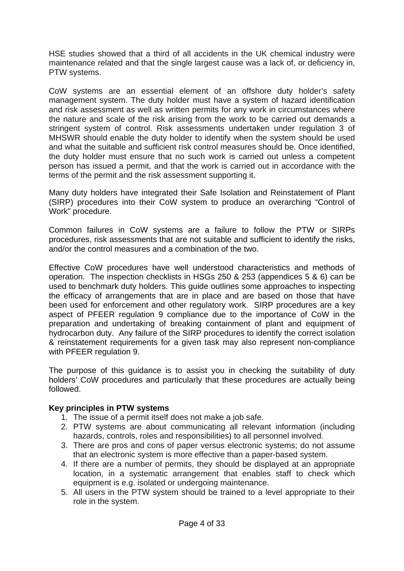HSE studies showed that a third of all accidents in the UK chemical industry were maintenance related and that the single largest cause was a lack of, or deficiency in, PTW systems.

CoW systems are an essential element of an offshore duty holder's safety management system. The duty holder must have a system of hazard identification and risk assessment as well as written permits for any work in circumstances where the nature and scale of the risk arising from the work to be carried out demands a stringent system of control. Risk assessments undertaken under regulation 3 of MHSWR should enable the duty holder to identify when the system should be used and what the suitable and sufficient risk control measures should be. Once identified, the duty holder must ensure that no such work is carried out unless a competent person has issued a permit, and that the work is carried out in accordance with the terms of the permit and the risk assessment supporting it.

Many duty holders have integrated their Safe Isolation and Reinstatement of Plant (SIRP) procedures into their CoW system to produce an overarching "Control of Work" procedure.

Common failures in CoW systems are a failure to follow the PTW or SIRPs procedures, risk assessments that are not suitable and sufficient to identify the risks, and/or the control measures and a combination of the two.

Effective CoW procedures have well understood characteristics and methods of operation. The inspection checklists in HSGs 250 & 253 (appendices 5 & 6) can be used to benchmark duty holders. This guide outlines some approaches to inspecting the efficacy of arrangements that are in place and are based on those that have been used for enforcement and other regulatory work. SIRP procedures are a key aspect of PFEER regulation 9 compliance due to the importance of CoW in the preparation and undertaking of breaking containment of plant and equipment of hydrocarbon duty. Any failure of the SIRP procedures to identify the correct isolation & reinstatement requirements for a given task may also represent non-compliance with PFEER regulation 9.

The purpose of this guidance is to assist you in checking the suitability of duty holders' CoW procedures and particularly that these procedures are actually being followed.

# **Key principles in PTW systems**

- 1. The issue of a permit itself does not make a job safe.
- 2. PTW systems are about communicating all relevant information (including hazards, controls, roles and responsibilities) to all personnel involved.
- 3. There are pros and cons of paper versus electronic systems; do not assume that an electronic system is more effective than a paper-based system.
- 4. If there are a number of permits, they should be displayed at an appropriate location, in a systematic arrangement that enables staff to check which equipment is e.g. isolated or undergoing maintenance.
- 5. All users in the PTW system should be trained to a level appropriate to their role in the system.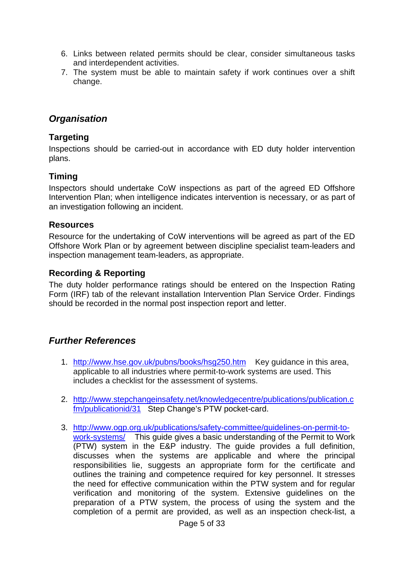- 6. Links between related permits should be clear, consider simultaneous tasks and interdependent activities.
- 7. The system must be able to maintain safety if work continues over a shift change.

# <span id="page-4-0"></span>*Organisation*

# <span id="page-4-1"></span>**Targeting**

Inspections should be carried-out in accordance with ED duty holder intervention plans.

# <span id="page-4-2"></span>**Timing**

Inspectors should undertake CoW inspections as part of the agreed ED Offshore Intervention Plan; when intelligence indicates intervention is necessary, or as part of an investigation following an incident.

# **Resources**

Resource for the undertaking of CoW interventions will be agreed as part of the ED Offshore Work Plan or by agreement between discipline specialist team-leaders and inspection management team-leaders, as appropriate.

# <span id="page-4-3"></span>**Recording & Reporting**

The duty holder performance ratings should be entered on the Inspection Rating Form (IRF) tab of the relevant installation Intervention Plan Service Order. Findings should be recorded in the normal post inspection report and letter.

# *Further References*

- 1. <http://www.hse.gov.uk/pubns/books/hsg250.htm>Key guidance in this area, applicable to all industries where permit-to-work systems are used. This includes a checklist for the assessment of systems.
- 2. [http://www.stepchangeinsafety.net/knowledgecentre/publications/publication.c](http://www.stepchangeinsafety.net/knowledgecentre/publications/publication.cfm/publicationid/31) [fm/publicationid/31](http://www.stepchangeinsafety.net/knowledgecentre/publications/publication.cfm/publicationid/31) Step Change's PTW pocket-card.
- 3. [http://www.ogp.org.uk/publications/safety-committee/guidelines-on-permit-to](http://www.ogp.org.uk/publications/safety-committee/guidelines-on-permit-to-work-systems/)[work-systems/](http://www.ogp.org.uk/publications/safety-committee/guidelines-on-permit-to-work-systems/) This guide gives a basic understanding of the Permit to Work (PTW) system in the E&P industry. The guide provides a full definition, discusses when the systems are applicable and where the principal responsibilities lie, suggests an appropriate form for the certificate and outlines the training and competence required for key personnel. It stresses the need for effective communication within the PTW system and for regular verification and monitoring of the system. Extensive guidelines on the preparation of a PTW system, the process of using the system and the completion of a permit are provided, as well as an inspection check-list, a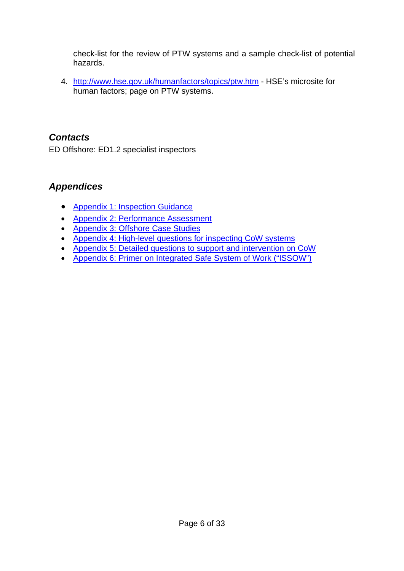check-list for the review of PTW systems and a sample check-list of potential hazards.

4. <http://www.hse.gov.uk/humanfactors/topics/ptw.htm>- HSE's microsite for human factors; page on PTW systems.

# *Contacts*

ED Offshore: ED1.2 specialist inspectors

# *Appendices*

- [Appendix 1: Inspection Guidance](#page-6-0)
- [Appendix 2: Performance Assessment](#page-12-0)
- [Appendix 3: Offshore Case Studies](#page-15-0)
- [Appendix 4: High-level questions for inspecting CoW systems](#page-21-0)
- [Appendix 5: Detailed questions to support and intervention on CoW](#page-22-0)
- [Appendix 6: Primer on Integrated Safe System of Work \("ISSOW"\)](#page-28-0)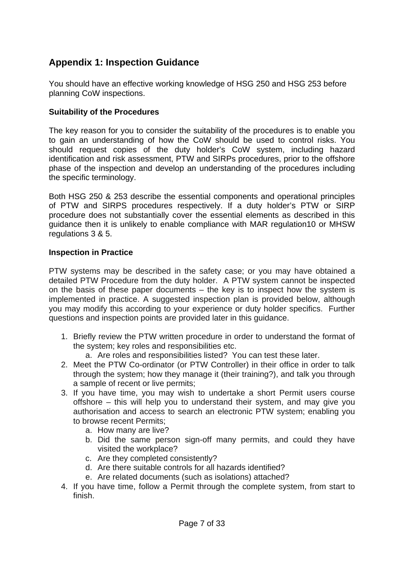# <span id="page-6-0"></span>**Appendix 1: Inspection Guidance**

You should have an effective working knowledge of HSG 250 and HSG 253 before planning CoW inspections.

# **Suitability of the Procedures**

The key reason for you to consider the suitability of the procedures is to enable you to gain an understanding of how the CoW should be used to control risks. You should request copies of the duty holder's CoW system, including hazard identification and risk assessment, PTW and SIRPs procedures, prior to the offshore phase of the inspection and develop an understanding of the procedures including the specific terminology.

Both HSG 250 & 253 describe the essential components and operational principles of PTW and SIRPS procedures respectively. If a duty holder's PTW or SIRP procedure does not substantially cover the essential elements as described in this guidance then it is unlikely to enable compliance with MAR regulation10 or MHSW regulations 3 & 5.

### **Inspection in Practice**

PTW systems may be described in the safety case; or you may have obtained a detailed PTW Procedure from the duty holder. A PTW system cannot be inspected on the basis of these paper documents – the key is to inspect how the system is implemented in practice. A suggested inspection plan is provided below, although you may modify this according to your experience or duty holder specifics. Further questions and inspection points are provided later in this guidance.

- 1. Briefly review the PTW written procedure in order to understand the format of the system; key roles and responsibilities etc.
	- a. Are roles and responsibilities listed? You can test these later.
- 2. Meet the PTW Co-ordinator (or PTW Controller) in their office in order to talk through the system; how they manage it (their training?), and talk you through a sample of recent or live permits;
- 3. If you have time, you may wish to undertake a short Permit users course offshore – this will help you to understand their system, and may give you authorisation and access to search an electronic PTW system; enabling you to browse recent Permits;
	- a. How many are live?
	- b. Did the same person sign-off many permits, and could they have visited the workplace?
	- c. Are they completed consistently?
	- d. Are there suitable controls for all hazards identified?
	- e. Are related documents (such as isolations) attached?
- 4. If you have time, follow a Permit through the complete system, from start to finish.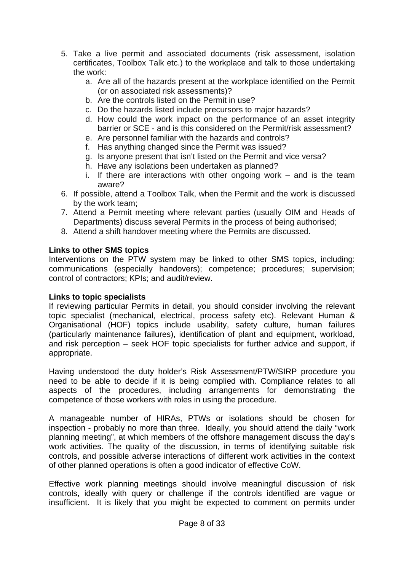- 5. Take a live permit and associated documents (risk assessment, isolation certificates, Toolbox Talk etc.) to the workplace and talk to those undertaking the work:
	- a. Are all of the hazards present at the workplace identified on the Permit (or on associated risk assessments)?
	- b. Are the controls listed on the Permit in use?
	- c. Do the hazards listed include precursors to major hazards?
	- d. How could the work impact on the performance of an asset integrity barrier or SCE - and is this considered on the Permit/risk assessment?
	- e. Are personnel familiar with the hazards and controls?
	- f. Has anything changed since the Permit was issued?
	- g. Is anyone present that isn't listed on the Permit and vice versa?
	- h. Have any isolations been undertaken as planned?
	- i. If there are interactions with other ongoing work and is the team aware?
- 6. If possible, attend a Toolbox Talk, when the Permit and the work is discussed by the work team;
- 7. Attend a Permit meeting where relevant parties (usually OIM and Heads of Departments) discuss several Permits in the process of being authorised;
- 8. Attend a shift handover meeting where the Permits are discussed.

# **Links to other SMS topics**

Interventions on the PTW system may be linked to other SMS topics, including: communications (especially handovers); competence; procedures; supervision; control of contractors; KPIs; and audit/review.

# **Links to topic specialists**

If reviewing particular Permits in detail, you should consider involving the relevant topic specialist (mechanical, electrical, process safety etc). Relevant Human & Organisational (HOF) topics include usability, safety culture, human failures (particularly maintenance failures), identification of plant and equipment, workload, and risk perception – seek HOF topic specialists for further advice and support, if appropriate.

Having understood the duty holder's Risk Assessment/PTW/SIRP procedure you need to be able to decide if it is being complied with. Compliance relates to all aspects of the procedures, including arrangements for demonstrating the competence of those workers with roles in using the procedure.

A manageable number of HIRAs, PTWs or isolations should be chosen for inspection - probably no more than three. Ideally, you should attend the daily "work planning meeting", at which members of the offshore management discuss the day's work activities. The quality of the discussion, in terms of identifying suitable risk controls, and possible adverse interactions of different work activities in the context of other planned operations is often a good indicator of effective CoW.

Effective work planning meetings should involve meaningful discussion of risk controls, ideally with query or challenge if the controls identified are vague or insufficient. It is likely that you might be expected to comment on permits under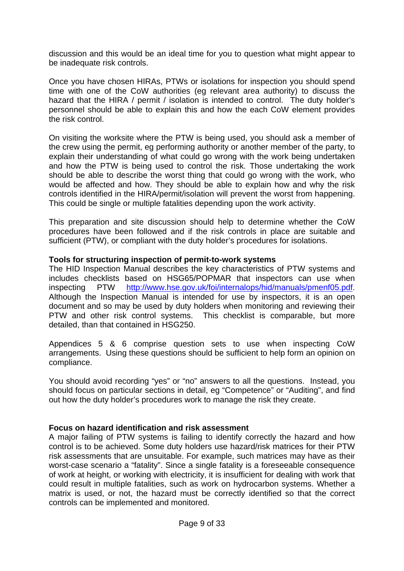discussion and this would be an ideal time for you to question what might appear to be inadequate risk controls.

Once you have chosen HIRAs, PTWs or isolations for inspection you should spend time with one of the CoW authorities (eg relevant area authority) to discuss the hazard that the HIRA / permit / isolation is intended to control. The duty holder's personnel should be able to explain this and how the each CoW element provides the risk control.

On visiting the worksite where the PTW is being used, you should ask a member of the crew using the permit, eg performing authority or another member of the party, to explain their understanding of what could go wrong with the work being undertaken and how the PTW is being used to control the risk. Those undertaking the work should be able to describe the worst thing that could go wrong with the work, who would be affected and how. They should be able to explain how and why the risk controls identified in the HIRA/permit/isolation will prevent the worst from happening. This could be single or multiple fatalities depending upon the work activity.

This preparation and site discussion should help to determine whether the CoW procedures have been followed and if the risk controls in place are suitable and sufficient (PTW), or compliant with the duty holder's procedures for isolations.

#### **Tools for structuring inspection of permit-to-work systems**

The HID Inspection Manual describes the key characteristics of PTW systems and includes checklists based on HSG65/POPMAR that inspectors can use when inspecting PTW <http://www.hse.gov.uk/foi/internalops/hid/manuals/pmenf05.pdf>. Although the Inspection Manual is intended for use by inspectors, it is an open document and so may be used by duty holders when monitoring and reviewing their PTW and other risk control systems. This checklist is comparable, but more detailed, than that contained in HSG250.

Appendices 5 & 6 comprise question sets to use when inspecting CoW arrangements. Using these questions should be sufficient to help form an opinion on compliance.

You should avoid recording "yes" or "no" answers to all the questions. Instead, you should focus on particular sections in detail, eg "Competence" or "Auditing", and find out how the duty holder's procedures work to manage the risk they create.

# **Focus on hazard identification and risk assessment**

A major failing of PTW systems is failing to identify correctly the hazard and how control is to be achieved. Some duty holders use hazard/risk matrices for their PTW risk assessments that are unsuitable. For example, such matrices may have as their worst-case scenario a "fatality". Since a single fatality is a foreseeable consequence of work at height, or working with electricity, it is insufficient for dealing with work that could result in multiple fatalities, such as work on hydrocarbon systems. Whether a matrix is used, or not, the hazard must be correctly identified so that the correct controls can be implemented and monitored.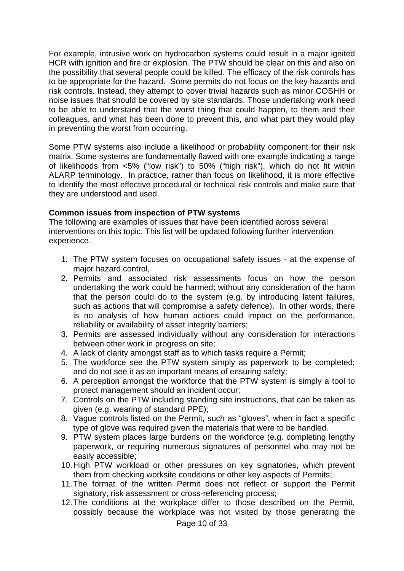For example, intrusive work on hydrocarbon systems could result in a major ignited HCR with ignition and fire or explosion. The PTW should be clear on this and also on the possibility that several people could be killed. The efficacy of the risk controls has to be appropriate for the hazard. Some permits do not focus on the key hazards and risk controls. Instead, they attempt to cover trivial hazards such as minor COSHH or noise issues that should be covered by site standards. Those undertaking work need to be able to understand that the worst thing that could happen, to them and their colleagues, and what has been done to prevent this, and what part they would play in preventing the worst from occurring.

Some PTW systems also include a likelihood or probability component for their risk matrix. Some systems are fundamentally flawed with one example indicating a range of likelihoods from <5% ("low risk") to 50% ("high risk"), which do not fit within ALARP terminology. In practice, rather than focus on likelihood, it is more effective to identify the most effective procedural or technical risk controls and make sure that they are understood and used.

### **Common issues from inspection of PTW systems**

The following are examples of issues that have been identified across several interventions on this topic. This list will be updated following further intervention experience.

- 1. The PTW system focuses on occupational safety issues at the expense of major hazard control,
- 2. Permits and associated risk assessments focus on how the person undertaking the work could be harmed; without any consideration of the harm that the person could do to the system (e.g. by introducing latent failures, such as actions that will compromise a safety defence). In other words, there is no analysis of how human actions could impact on the performance, reliability or availability of asset integrity barriers;
- 3. Permits are assessed individually without any consideration for interactions between other work in progress on site;
- 4. A lack of clarity amongst staff as to which tasks require a Permit;
- 5. The workforce see the PTW system simply as paperwork to be completed; and do not see it as an important means of ensuring safety;
- 6. A perception amongst the workforce that the PTW system is simply a tool to protect management should an incident occur;
- 7. Controls on the PTW including standing site instructions, that can be taken as given (e.g. wearing of standard PPE);
- 8. Vague controls listed on the Permit, such as "gloves", when in fact a specific type of glove was required given the materials that were to be handled.
- 9. PTW system places large burdens on the workforce (e.g. completing lengthy paperwork, or requiring numerous signatures of personnel who may not be easily accessible;
- 10. High PTW workload or other pressures on key signatories, which prevent them from checking worksite conditions or other key aspects of Permits;
- 11. The format of the written Permit does not reflect or support the Permit signatory, risk assessment or cross-referencing process;
- 12. The conditions at the workplace differ to those described on the Permit, possibly because the workplace was not visited by those generating the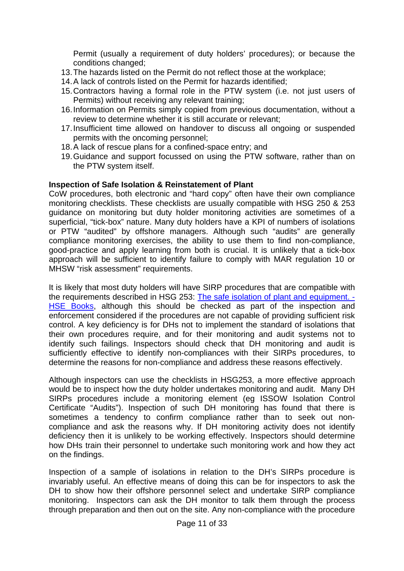Permit (usually a requirement of duty holders' procedures); or because the conditions changed;

- 13. The hazards listed on the Permit do not reflect those at the workplace;
- 14. A lack of controls listed on the Permit for hazards identified;
- 15. Contractors having a formal role in the PTW system (i.e. not just users of Permits) without receiving any relevant training;
- 16. Information on Permits simply copied from previous documentation, without a review to determine whether it is still accurate or relevant;
- 17. Insufficient time allowed on handover to discuss all ongoing or suspended permits with the oncoming personnel;
- 18. A lack of rescue plans for a confined-space entry; and
- 19. Guidance and support focussed on using the PTW software, rather than on the PTW system itself.

### **Inspection of Safe Isolation & Reinstatement of Plant**

CoW procedures, both electronic and "hard copy" often have their own compliance monitoring checklists. These checklists are usually compatible with HSG 250 & 253 guidance on monitoring but duty holder monitoring activities are sometimes of a superficial, "tick-box" nature. Many duty holders have a KPI of numbers of isolations or PTW "audited" by offshore managers. Although such "audits" are generally compliance monitoring exercises, the ability to use them to find non-compliance, good-practice and apply learning from both is crucial. It is unlikely that a tick-box approach will be sufficient to identify failure to comply with MAR regulation 10 or MHSW "risk assessment" requirements.

It is likely that most duty holders will have SIRP procedures that are compatible with the requirements described in HSG 253: [The safe isolation of plant and equipment. -](http://books.hse.gov.uk/hse/public/saleproduct.jsf?catalogueCode=9780717661718) [HSE Books](http://books.hse.gov.uk/hse/public/saleproduct.jsf?catalogueCode=9780717661718), although this should be checked as part of the inspection and enforcement considered if the procedures are not capable of providing sufficient risk control. A key deficiency is for DHs not to implement the standard of isolations that their own procedures require, and for their monitoring and audit systems not to identify such failings. Inspectors should check that DH monitoring and audit is sufficiently effective to identify non-compliances with their SIRPs procedures, to determine the reasons for non-compliance and address these reasons effectively.

Although inspectors can use the checklists in HSG253, a more effective approach would be to inspect how the duty holder undertakes monitoring and audit. Many DH SIRPs procedures include a monitoring element (eg ISSOW Isolation Control Certificate "Audits"). Inspection of such DH monitoring has found that there is sometimes a tendency to confirm compliance rather than to seek out noncompliance and ask the reasons why. If DH monitoring activity does not identify deficiency then it is unlikely to be working effectively. Inspectors should determine how DHs train their personnel to undertake such monitoring work and how they act on the findings.

Inspection of a sample of isolations in relation to the DH's SIRPs procedure is invariably useful. An effective means of doing this can be for inspectors to ask the DH to show how their offshore personnel select and undertake SIRP compliance monitoring. Inspectors can ask the DH monitor to talk them through the process through preparation and then out on the site. Any non-compliance with the procedure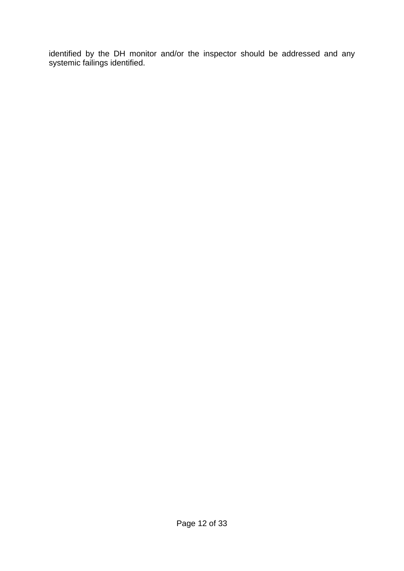identified by the DH monitor and/or the inspector should be addressed and any systemic failings identified.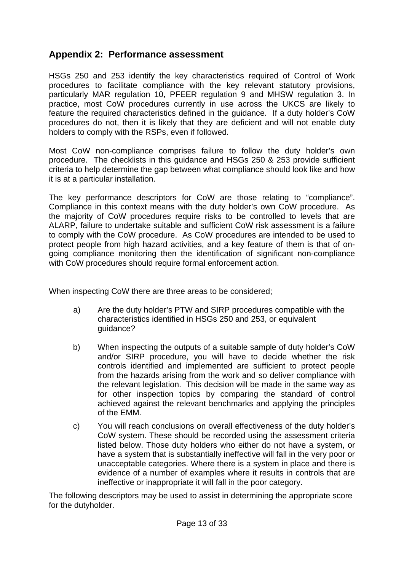# <span id="page-12-0"></span>**Appendix 2: Performance assessment**

HSGs 250 and 253 identify the key characteristics required of Control of Work procedures to facilitate compliance with the key relevant statutory provisions, particularly MAR regulation 10, PFEER regulation 9 and MHSW regulation 3. In practice, most CoW procedures currently in use across the UKCS are likely to feature the required characteristics defined in the guidance. If a duty holder's CoW procedures do not, then it is likely that they are deficient and will not enable duty holders to comply with the RSPs, even if followed.

Most CoW non-compliance comprises failure to follow the duty holder's own procedure. The checklists in this guidance and HSGs 250 & 253 provide sufficient criteria to help determine the gap between what compliance should look like and how it is at a particular installation.

The key performance descriptors for CoW are those relating to "compliance". Compliance in this context means with the duty holder's own CoW procedure. As the majority of CoW procedures require risks to be controlled to levels that are ALARP, failure to undertake suitable and sufficient CoW risk assessment is a failure to comply with the CoW procedure. As CoW procedures are intended to be used to protect people from high hazard activities, and a key feature of them is that of ongoing compliance monitoring then the identification of significant non-compliance with CoW procedures should require formal enforcement action.

When inspecting CoW there are three areas to be considered;

- a) Are the duty holder's PTW and SIRP procedures compatible with the characteristics identified in HSGs 250 and 253, or equivalent guidance?
- b) When inspecting the outputs of a suitable sample of duty holder's CoW and/or SIRP procedure, you will have to decide whether the risk controls identified and implemented are sufficient to protect people from the hazards arising from the work and so deliver compliance with the relevant legislation. This decision will be made in the same way as for other inspection topics by comparing the standard of control achieved against the relevant benchmarks and applying the principles of the EMM.
- c) You will reach conclusions on overall effectiveness of the duty holder's CoW system. These should be recorded using the assessment criteria listed below. Those duty holders who either do not have a system, or have a system that is substantially ineffective will fall in the very poor or unacceptable categories. Where there is a system in place and there is evidence of a number of examples where it results in controls that are ineffective or inappropriate it will fall in the poor category.

The following descriptors may be used to assist in determining the appropriate score for the dutyholder.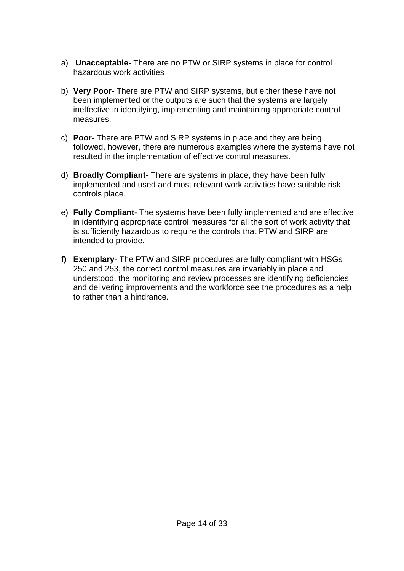- a) **Unacceptable** There are no PTW or SIRP systems in place for control hazardous work activities
- b) **Very Poor** There are PTW and SIRP systems, but either these have not been implemented or the outputs are such that the systems are largely ineffective in identifying, implementing and maintaining appropriate control measures.
- c) **Poor** There are PTW and SIRP systems in place and they are being followed, however, there are numerous examples where the systems have not resulted in the implementation of effective control measures.
- d) **Broadly Compliant** There are systems in place, they have been fully implemented and used and most relevant work activities have suitable risk controls place.
- e) **Fully Compliant** The systems have been fully implemented and are effective in identifying appropriate control measures for all the sort of work activity that is sufficiently hazardous to require the controls that PTW and SIRP are intended to provide.
- **f) Exemplary** The PTW and SIRP procedures are fully compliant with HSGs 250 and 253, the correct control measures are invariably in place and understood, the monitoring and review processes are identifying deficiencies and delivering improvements and the workforce see the procedures as a help to rather than a hindrance.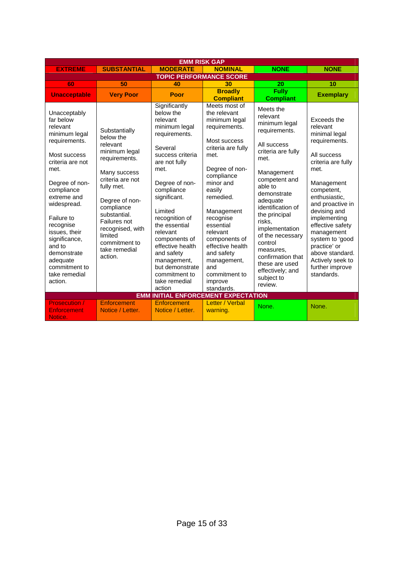| <b>EMM RISK GAP</b>                                                                                                                                                                                                                                                                                                              |                                                                                                                                                                                                                                                                        |                                                                                                                                                                                                                                                                                                                                                                                                                           |                                                                                                                                                                                                                                                                                                                                                          |                                                                                                                                                                                                                                                                                                                                                                             |                                                                                                                                                                                                                                                                                                                                                      |
|----------------------------------------------------------------------------------------------------------------------------------------------------------------------------------------------------------------------------------------------------------------------------------------------------------------------------------|------------------------------------------------------------------------------------------------------------------------------------------------------------------------------------------------------------------------------------------------------------------------|---------------------------------------------------------------------------------------------------------------------------------------------------------------------------------------------------------------------------------------------------------------------------------------------------------------------------------------------------------------------------------------------------------------------------|----------------------------------------------------------------------------------------------------------------------------------------------------------------------------------------------------------------------------------------------------------------------------------------------------------------------------------------------------------|-----------------------------------------------------------------------------------------------------------------------------------------------------------------------------------------------------------------------------------------------------------------------------------------------------------------------------------------------------------------------------|------------------------------------------------------------------------------------------------------------------------------------------------------------------------------------------------------------------------------------------------------------------------------------------------------------------------------------------------------|
| <b>EXTREME</b>                                                                                                                                                                                                                                                                                                                   | <b>SUBSTANTIAL</b>                                                                                                                                                                                                                                                     | <b>MODERATE</b>                                                                                                                                                                                                                                                                                                                                                                                                           | <b>NOMINAL</b>                                                                                                                                                                                                                                                                                                                                           | <b>NONE</b>                                                                                                                                                                                                                                                                                                                                                                 | <b>NONE</b>                                                                                                                                                                                                                                                                                                                                          |
| <b>TOPIC PERFORMANCE SCORE</b>                                                                                                                                                                                                                                                                                                   |                                                                                                                                                                                                                                                                        |                                                                                                                                                                                                                                                                                                                                                                                                                           |                                                                                                                                                                                                                                                                                                                                                          |                                                                                                                                                                                                                                                                                                                                                                             |                                                                                                                                                                                                                                                                                                                                                      |
| 60                                                                                                                                                                                                                                                                                                                               | 50                                                                                                                                                                                                                                                                     | 40                                                                                                                                                                                                                                                                                                                                                                                                                        | 30                                                                                                                                                                                                                                                                                                                                                       | 20                                                                                                                                                                                                                                                                                                                                                                          | 10                                                                                                                                                                                                                                                                                                                                                   |
| <b>Unacceptable</b>                                                                                                                                                                                                                                                                                                              | <b>Very Poor</b>                                                                                                                                                                                                                                                       | Poor                                                                                                                                                                                                                                                                                                                                                                                                                      | <b>Broadly</b><br><b>Compliant</b>                                                                                                                                                                                                                                                                                                                       | <b>Fully</b><br><b>Compliant</b>                                                                                                                                                                                                                                                                                                                                            | <b>Exemplary</b>                                                                                                                                                                                                                                                                                                                                     |
| Unacceptably<br>far below<br>relevant<br>minimum legal<br>requirements.<br>Most success<br>criteria are not<br>met.<br>Degree of non-<br>compliance<br>extreme and<br>widespread.<br>Failure to<br>recognise<br>issues, their<br>significance,<br>and to<br>demonstrate<br>adequate<br>commitment to<br>take remedial<br>action. | Substantially<br>below the<br>relevant<br>minimum legal<br>requirements.<br>Many success<br>criteria are not<br>fully met.<br>Degree of non-<br>compliance<br>substantial.<br>Failures not<br>recognised, with<br>limited<br>commitment to<br>take remedial<br>action. | Significantly<br>below the<br>relevant<br>minimum legal<br>requirements.<br>Several<br>success criteria<br>are not fully<br>met.<br>Degree of non-<br>compliance<br>significant.<br>Limited<br>recognition of<br>the essential<br>relevant<br>components of<br>effective health<br>and safety<br>management,<br>but demonstrate<br>commitment to<br>take remedial<br>action<br><b>EMM INITIAL ENFORCEMENT EXPECTATION</b> | Meets most of<br>the relevant<br>minimum legal<br>requirements.<br>Most success<br>criteria are fully<br>met.<br>Degree of non-<br>compliance<br>minor and<br>easily<br>remedied.<br>Management<br>recognise<br>essential<br>relevant<br>components of<br>effective health<br>and safety<br>management,<br>and<br>commitment to<br>improve<br>standards. | Meets the<br>relevant<br>minimum legal<br>requirements.<br>All success<br>criteria are fully<br>met.<br>Management<br>competent and<br>able to<br>demonstrate<br>adequate<br>identification of<br>the principal<br>risks,<br>implementation<br>of the necessary<br>control<br>measures.<br>confirmation that<br>these are used<br>effectively; and<br>subject to<br>review. | Exceeds the<br>relevant<br>minimal legal<br>requirements.<br>All success<br>criteria are fully<br>met.<br>Management<br>competent,<br>enthusiastic.<br>and proactive in<br>devising and<br>implementing<br>effective safety<br>management<br>system to 'good<br>practice' or<br>above standard.<br>Actively seek to<br>further improve<br>standards. |
| <b>Prosecution /</b><br>Enforcement<br>Notice.                                                                                                                                                                                                                                                                                   | <b>Enforcement</b><br>Notice / Letter.                                                                                                                                                                                                                                 | <b>Enforcement</b><br>Notice / Letter.                                                                                                                                                                                                                                                                                                                                                                                    | Letter / Verbal<br>warning.                                                                                                                                                                                                                                                                                                                              | None.                                                                                                                                                                                                                                                                                                                                                                       | None.                                                                                                                                                                                                                                                                                                                                                |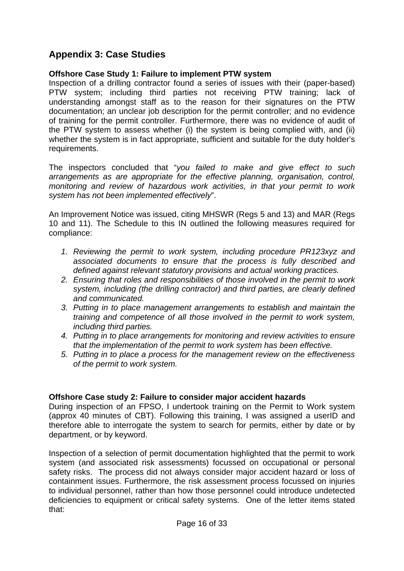# <span id="page-15-0"></span>**Appendix 3: Case Studies**

# **Offshore Case Study 1: Failure to implement PTW system**

Inspection of a drilling contractor found a series of issues with their (paper-based) PTW system; including third parties not receiving PTW training; lack of understanding amongst staff as to the reason for their signatures on the PTW documentation; an unclear job description for the permit controller; and no evidence of training for the permit controller. Furthermore, there was no evidence of audit of the PTW system to assess whether (i) the system is being complied with, and (ii) whether the system is in fact appropriate, sufficient and suitable for the duty holder's requirements.

The inspectors concluded that "*you failed to make and give effect to such arrangements as are appropriate for the effective planning, organisation, control, monitoring and review of hazardous work activities, in that your permit to work system has not been implemented effectively*".

An Improvement Notice was issued, citing MHSWR (Regs 5 and 13) and MAR (Regs 10 and 11). The Schedule to this IN outlined the following measures required for compliance:

- *1. Reviewing the permit to work system, including procedure PR123xyz and associated documents to ensure that the process is fully described and defined against relevant statutory provisions and actual working practices.*
- *2. Ensuring that roles and responsibilities of those involved in the permit to work system, including (the drilling contractor) and third parties, are clearly defined and communicated.*
- *3. Putting in to place management arrangements to establish and maintain the training and competence of all those involved in the permit to work system, including third parties.*
- *4. Putting in to place arrangements for monitoring and review activities to ensure that the implementation of the permit to work system has been effective.*
- *5. Putting in to place a process for the management review on the effectiveness of the permit to work system.*

# **Offshore Case study 2: Failure to consider major accident hazards**

During inspection of an FPSO, I undertook training on the Permit to Work system (approx 40 minutes of CBT). Following this training, I was assigned a userID and therefore able to interrogate the system to search for permits, either by date or by department, or by keyword.

Inspection of a selection of permit documentation highlighted that the permit to work system (and associated risk assessments) focussed on occupational or personal safety risks. The process did not always consider major accident hazard or loss of containment issues. Furthermore, the risk assessment process focussed on injuries to individual personnel, rather than how those personnel could introduce undetected deficiencies to equipment or critical safety systems. One of the letter items stated that: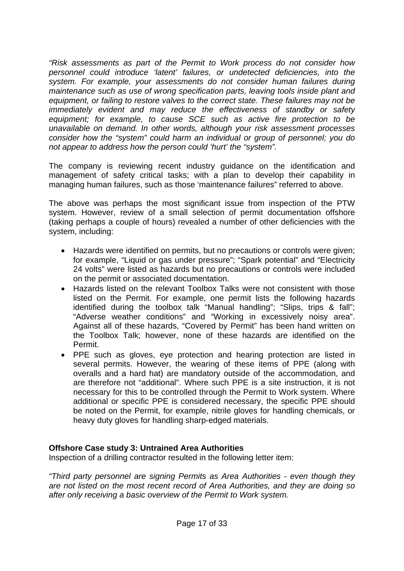*"Risk assessments as part of the Permit to Work process do not consider how personnel could introduce 'latent' failures, or undetected deficiencies, into the system. For example, your assessments do not consider human failures during maintenance such as use of wrong specification parts, leaving tools inside plant and equipment, or failing to restore valves to the correct state. These failures may not be immediately evident and may reduce the effectiveness of standby or safety equipment; for example, to cause SCE such as active fire protection to be unavailable on demand. In other words, although your risk assessment processes consider how the "system" could harm an individual or group of personnel; you do not appear to address how the person could 'hurt' the "system".* 

The company is reviewing recent industry guidance on the identification and management of safety critical tasks; with a plan to develop their capability in managing human failures, such as those 'maintenance failures" referred to above.

The above was perhaps the most significant issue from inspection of the PTW system. However, review of a small selection of permit documentation offshore (taking perhaps a couple of hours) revealed a number of other deficiencies with the system, including:

- Hazards were identified on permits, but no precautions or controls were given; for example, "Liquid or gas under pressure"; "Spark potential" and "Electricity 24 volts" were listed as hazards but no precautions or controls were included on the permit or associated documentation.
- Hazards listed on the relevant Toolbox Talks were not consistent with those listed on the Permit. For example, one permit lists the following hazards identified during the toolbox talk "Manual handling"; "Slips, trips & fall"; "Adverse weather conditions" and "Working in excessively noisy area". Against all of these hazards, "Covered by Permit" has been hand written on the Toolbox Talk; however, none of these hazards are identified on the Permit.
- PPE such as gloves, eye protection and hearing protection are listed in several permits. However, the wearing of these items of PPE (along with overalls and a hard hat) are mandatory outside of the accommodation, and are therefore not "additional". Where such PPE is a site instruction, it is not necessary for this to be controlled through the Permit to Work system. Where additional or specific PPE is considered necessary, the specific PPE should be noted on the Permit, for example, nitrile gloves for handling chemicals, or heavy duty gloves for handling sharp-edged materials.

# **Offshore Case study 3: Untrained Area Authorities**

Inspection of a drilling contractor resulted in the following letter item:

*"Third party personnel are signing Permits as Area Authorities - even though they are not listed on the most recent record of Area Authorities, and they are doing so after only receiving a basic overview of the Permit to Work system.*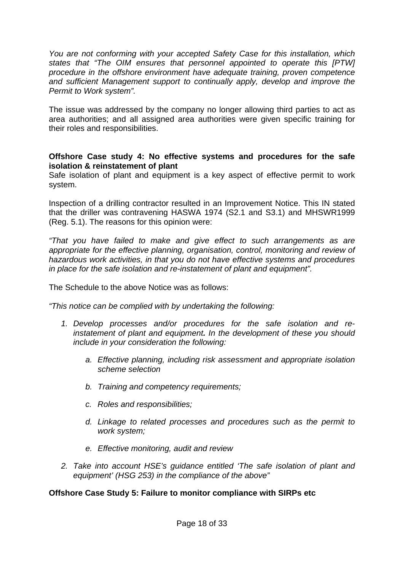*You are not conforming with your accepted Safety Case for this installation, which states that "The OIM ensures that personnel appointed to operate this [PTW] procedure in the offshore environment have adequate training, proven competence and sufficient Management support to continually apply, develop and improve the Permit to Work system".*

The issue was addressed by the company no longer allowing third parties to act as area authorities; and all assigned area authorities were given specific training for their roles and responsibilities.

#### **Offshore Case study 4: No effective systems and procedures for the safe isolation & reinstatement of plant**

Safe isolation of plant and equipment is a key aspect of effective permit to work system.

Inspection of a drilling contractor resulted in an Improvement Notice. This IN stated that the driller was contravening HASWA 1974 (S2.1 and S3.1) and MHSWR1999 (Reg. 5.1). The reasons for this opinion were:

*"That you have failed to make and give effect to such arrangements as are appropriate for the effective planning, organisation, control, monitoring and review of hazardous work activities, in that you do not have effective systems and procedures in place for the safe isolation and re-instatement of plant and equipment".* 

The Schedule to the above Notice was as follows:

*"This notice can be complied with by undertaking the following:* 

- *1. Develop processes and/or procedures for the safe isolation and reinstatement of plant and equipment. In the development of these you should include in your consideration the following:* 
	- *a. Effective planning, including risk assessment and appropriate isolation scheme selection*
	- *b. Training and competency requirements;*
	- *c. Roles and responsibilities;*
	- *d. Linkage to related processes and procedures such as the permit to work system;*
	- *e. Effective monitoring, audit and review*
- *2. Take into account HSE's guidance entitled 'The safe isolation of plant and equipment' (HSG 253) in the compliance of the above"*

# **Offshore Case Study 5: Failure to monitor compliance with SIRPs etc**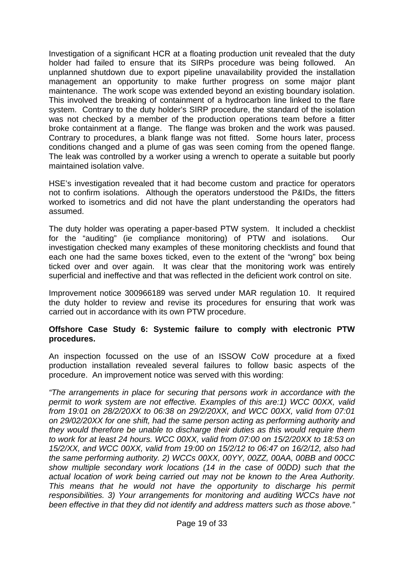Investigation of a significant HCR at a floating production unit revealed that the duty holder had failed to ensure that its SIRPs procedure was being followed. unplanned shutdown due to export pipeline unavailability provided the installation management an opportunity to make further progress on some major plant maintenance. The work scope was extended beyond an existing boundary isolation. This involved the breaking of containment of a hydrocarbon line linked to the flare system. Contrary to the duty holder's SIRP procedure, the standard of the isolation was not checked by a member of the production operations team before a fitter broke containment at a flange. The flange was broken and the work was paused. Contrary to procedures, a blank flange was not fitted. Some hours later, process conditions changed and a plume of gas was seen coming from the opened flange. The leak was controlled by a worker using a wrench to operate a suitable but poorly maintained isolation valve.

HSE's investigation revealed that it had become custom and practice for operators not to confirm isolations. Although the operators understood the P&IDs, the fitters worked to isometrics and did not have the plant understanding the operators had assumed.

The duty holder was operating a paper-based PTW system. It included a checklist for the "auditing" (ie compliance monitoring) of PTW and isolations. Our investigation checked many examples of these monitoring checklists and found that each one had the same boxes ticked, even to the extent of the "wrong" box being ticked over and over again. It was clear that the monitoring work was entirely superficial and ineffective and that was reflected in the deficient work control on site.

Improvement notice 300966189 was served under MAR regulation 10. It required the duty holder to review and revise its procedures for ensuring that work was carried out in accordance with its own PTW procedure.

### **Offshore Case Study 6: Systemic failure to comply with electronic PTW procedures.**

An inspection focussed on the use of an ISSOW CoW procedure at a fixed production installation revealed several failures to follow basic aspects of the procedure. An improvement notice was served with this wording:

*"The arrangements in place for securing that persons work in accordance with the permit to work system are not effective. Examples of this are:1) WCC 00XX, valid from 19:01 on 28/2/20XX to 06:38 on 29/2/20XX, and WCC 00XX, valid from 07:01 on 29/02/20XX for one shift, had the same person acting as performing authority and they would therefore be unable to discharge their duties as this would require them to work for at least 24 hours. WCC 00XX, valid from 07:00 on 15/2/20XX to 18:53 on 15/2/XX, and WCC 00XX, valid from 19:00 on 15/2/12 to 06:47 on 16/2/12, also had the same performing authority. 2) WCCs 00XX, 00YY, 00ZZ, 00AA, 00BB and 00CC show multiple secondary work locations (14 in the case of 00DD) such that the actual location of work being carried out may not be known to the Area Authority.*  This means that he would not have the opportunity to discharge his permit *responsibilities. 3) Your arrangements for monitoring and auditing WCCs have not been effective in that they did not identify and address matters such as those above."*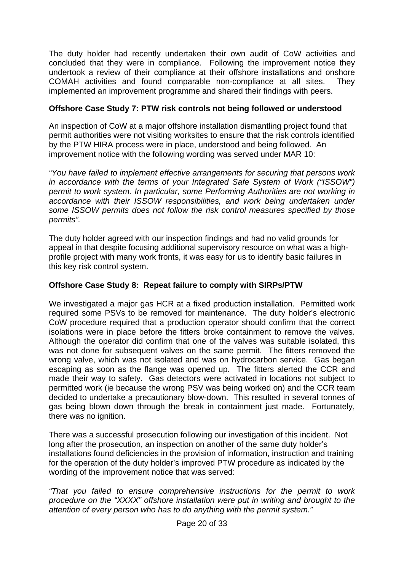The duty holder had recently undertaken their own audit of CoW activities and concluded that they were in compliance. Following the improvement notice they undertook a review of their compliance at their offshore installations and onshore COMAH activities and found comparable non-compliance at all sites. They implemented an improvement programme and shared their findings with peers.

# **Offshore Case Study 7: PTW risk controls not being followed or understood**

An inspection of CoW at a major offshore installation dismantling project found that permit authorities were not visiting worksites to ensure that the risk controls identified by the PTW HIRA process were in place, understood and being followed. An improvement notice with the following wording was served under MAR 10:

*"You have failed to implement effective arrangements for securing that persons work*  in accordance with the terms of your Integrated Safe System of Work ("ISSOW") *permit to work system. In particular, some Performing Authorities are not working in accordance with their ISSOW responsibilities, and work being undertaken under some ISSOW permits does not follow the risk control measures specified by those permits".* 

The duty holder agreed with our inspection findings and had no valid grounds for appeal in that despite focusing additional supervisory resource on what was a highprofile project with many work fronts, it was easy for us to identify basic failures in this key risk control system.

# **Offshore Case Study 8: Repeat failure to comply with SIRPs/PTW**

We investigated a major gas HCR at a fixed production installation. Permitted work required some PSVs to be removed for maintenance. The duty holder's electronic CoW procedure required that a production operator should confirm that the correct isolations were in place before the fitters broke containment to remove the valves. Although the operator did confirm that one of the valves was suitable isolated, this was not done for subsequent valves on the same permit. The fitters removed the wrong valve, which was not isolated and was on hydrocarbon service. Gas began escaping as soon as the flange was opened up. The fitters alerted the CCR and made their way to safety. Gas detectors were activated in locations not subject to permitted work (ie because the wrong PSV was being worked on) and the CCR team decided to undertake a precautionary blow-down. This resulted in several tonnes of gas being blown down through the break in containment just made. Fortunately, there was no ignition.

There was a successful prosecution following our investigation of this incident. Not long after the prosecution, an inspection on another of the same duty holder's installations found deficiencies in the provision of information, instruction and training for the operation of the duty holder's improved PTW procedure as indicated by the wording of the improvement notice that was served:

*"That you failed to ensure comprehensive instructions for the permit to work procedure on the "XXXX" offshore installation were put in writing and brought to the attention of every person who has to do anything with the permit system."*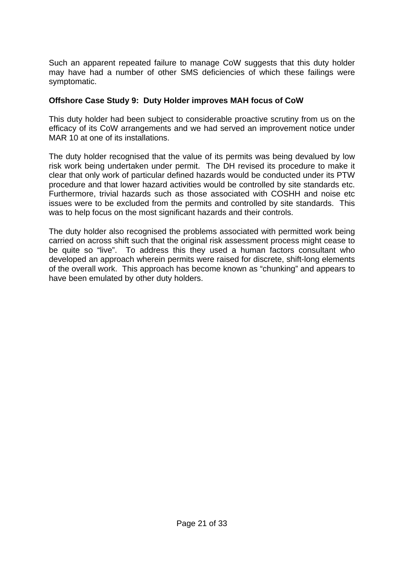Such an apparent repeated failure to manage CoW suggests that this duty holder may have had a number of other SMS deficiencies of which these failings were symptomatic.

# **Offshore Case Study 9: Duty Holder improves MAH focus of CoW**

This duty holder had been subject to considerable proactive scrutiny from us on the efficacy of its CoW arrangements and we had served an improvement notice under MAR 10 at one of its installations.

The duty holder recognised that the value of its permits was being devalued by low risk work being undertaken under permit. The DH revised its procedure to make it clear that only work of particular defined hazards would be conducted under its PTW procedure and that lower hazard activities would be controlled by site standards etc. Furthermore, trivial hazards such as those associated with COSHH and noise etc issues were to be excluded from the permits and controlled by site standards. This was to help focus on the most significant hazards and their controls.

The duty holder also recognised the problems associated with permitted work being carried on across shift such that the original risk assessment process might cease to be quite so "live". To address this they used a human factors consultant who developed an approach wherein permits were raised for discrete, shift-long elements of the overall work. This approach has become known as "chunking" and appears to have been emulated by other duty holders.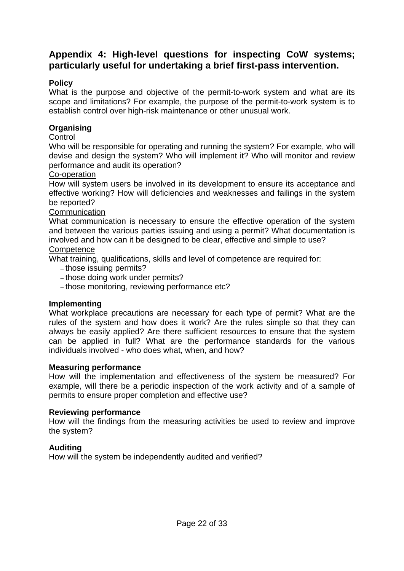# <span id="page-21-0"></span>**Appendix 4: High-level questions for inspecting CoW systems; particularly useful for undertaking a brief first-pass intervention.**

### **Policy**

What is the purpose and objective of the permit-to-work system and what are its scope and limitations? For example, the purpose of the permit-to-work system is to establish control over high-risk maintenance or other unusual work.

### **Organising**

#### **Control**

Who will be responsible for operating and running the system? For example, who will devise and design the system? Who will implement it? Who will monitor and review performance and audit its operation?

#### Co-operation

How will system users be involved in its development to ensure its acceptance and effective working? How will deficiencies and weaknesses and failings in the system be reported?

#### **Communication**

What communication is necessary to ensure the effective operation of the system and between the various parties issuing and using a permit? What documentation is involved and how can it be designed to be clear, effective and simple to use? **Competence** 

What training, qualifications, skills and level of competence are required for:

- those issuing permits?
- those doing work under permits?
- those monitoring, reviewing performance etc?

#### **Implementing**

What workplace precautions are necessary for each type of permit? What are the rules of the system and how does it work? Are the rules simple so that they can always be easily applied? Are there sufficient resources to ensure that the system can be applied in full? What are the performance standards for the various individuals involved - who does what, when, and how?

#### **Measuring performance**

How will the implementation and effectiveness of the system be measured? For example, will there be a periodic inspection of the work activity and of a sample of permits to ensure proper completion and effective use?

#### **Reviewing performance**

How will the findings from the measuring activities be used to review and improve the system?

#### **Auditing**

How will the system be independently audited and verified?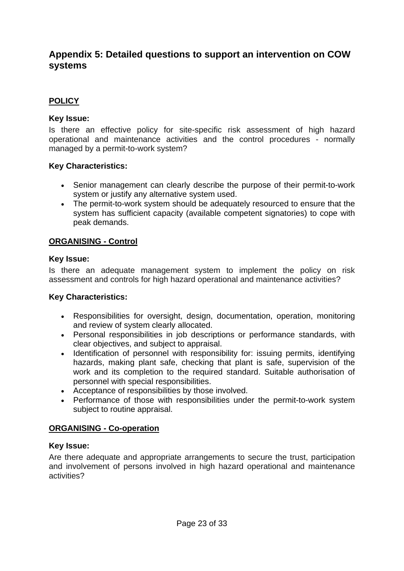# <span id="page-22-0"></span>**Appendix 5: Detailed questions to support an intervention on COW systems**

# **POLICY**

### **Key Issue:**

Is there an effective policy for site-specific risk assessment of high hazard operational and maintenance activities and the control procedures - normally managed by a permit-to-work system?

#### **Key Characteristics:**

- Senior management can clearly describe the purpose of their permit-to-work system or justify any alternative system used.
- The permit-to-work system should be adequately resourced to ensure that the system has sufficient capacity (available competent signatories) to cope with peak demands.

# **ORGANISING - Control**

### **Key Issue:**

Is there an adequate management system to implement the policy on risk assessment and controls for high hazard operational and maintenance activities?

#### **Key Characteristics:**

- Responsibilities for oversight, design, documentation, operation, monitoring and review of system clearly allocated.
- Personal responsibilities in job descriptions or performance standards, with clear objectives, and subject to appraisal.
- Identification of personnel with responsibility for: issuing permits, identifying hazards, making plant safe, checking that plant is safe, supervision of the work and its completion to the required standard. Suitable authorisation of personnel with special responsibilities.
- Acceptance of responsibilities by those involved.
- Performance of those with responsibilities under the permit-to-work system subject to routine appraisal.

#### **ORGANISING - Co-operation**

#### **Key Issue:**

Are there adequate and appropriate arrangements to secure the trust, participation and involvement of persons involved in high hazard operational and maintenance activities?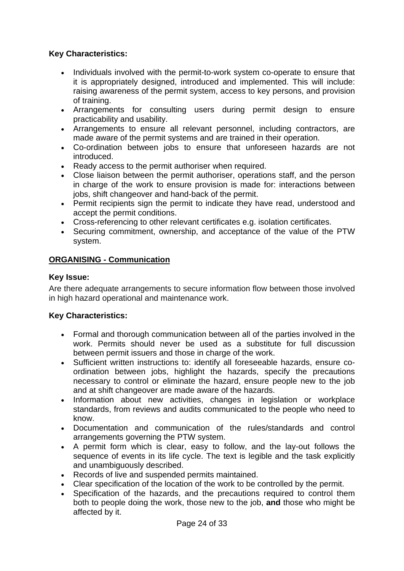# **Key Characteristics:**

- Individuals involved with the permit-to-work system co-operate to ensure that it is appropriately designed, introduced and implemented. This will include: raising awareness of the permit system, access to key persons, and provision of training.
- Arrangements for consulting users during permit design to ensure practicability and usability.
- Arrangements to ensure all relevant personnel, including contractors, are made aware of the permit systems and are trained in their operation.
- Co-ordination between jobs to ensure that unforeseen hazards are not introduced.
- Ready access to the permit authoriser when required.
- Close liaison between the permit authoriser, operations staff, and the person in charge of the work to ensure provision is made for: interactions between jobs, shift changeover and hand-back of the permit.
- Permit recipients sign the permit to indicate they have read, understood and accept the permit conditions.
- Cross-referencing to other relevant certificates e.g. isolation certificates.
- Securing commitment, ownership, and acceptance of the value of the PTW system.

# **ORGANISING - Communication**

# **Key Issue:**

Are there adequate arrangements to secure information flow between those involved in high hazard operational and maintenance work.

# **Key Characteristics:**

- Formal and thorough communication between all of the parties involved in the work. Permits should never be used as a substitute for full discussion between permit issuers and those in charge of the work.
- Sufficient written instructions to: identify all foreseeable hazards, ensure coordination between jobs, highlight the hazards, specify the precautions necessary to control or eliminate the hazard, ensure people new to the job and at shift changeover are made aware of the hazards.
- Information about new activities, changes in legislation or workplace standards, from reviews and audits communicated to the people who need to know.
- Documentation and communication of the rules/standards and control arrangements governing the PTW system.
- A permit form which is clear, easy to follow, and the lay-out follows the sequence of events in its life cycle. The text is legible and the task explicitly and unambiguously described.
- Records of live and suspended permits maintained.
- Clear specification of the location of the work to be controlled by the permit.
- Specification of the hazards, and the precautions required to control them both to people doing the work, those new to the job, **and** those who might be affected by it.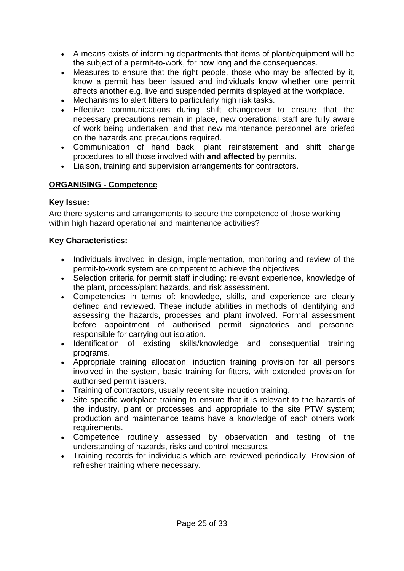- A means exists of informing departments that items of plant/equipment will be the subject of a permit-to-work, for how long and the consequences.
- Measures to ensure that the right people, those who may be affected by it, know a permit has been issued and individuals know whether one permit affects another e.g. live and suspended permits displayed at the workplace.
- Mechanisms to alert fitters to particularly high risk tasks.
- Effective communications during shift changeover to ensure that the necessary precautions remain in place, new operational staff are fully aware of work being undertaken, and that new maintenance personnel are briefed on the hazards and precautions required.
- Communication of hand back, plant reinstatement and shift change procedures to all those involved with **and affected** by permits.
- Liaison, training and supervision arrangements for contractors.

# **ORGANISING - Competence**

# **Key Issue:**

Are there systems and arrangements to secure the competence of those working within high hazard operational and maintenance activities?

# **Key Characteristics:**

- Individuals involved in design, implementation, monitoring and review of the permit-to-work system are competent to achieve the objectives.
- Selection criteria for permit staff including: relevant experience, knowledge of the plant, process/plant hazards, and risk assessment.
- Competencies in terms of: knowledge, skills, and experience are clearly defined and reviewed. These include abilities in methods of identifying and assessing the hazards, processes and plant involved. Formal assessment before appointment of authorised permit signatories and personnel responsible for carrying out isolation.
- Identification of existing skills/knowledge and consequential training programs.
- Appropriate training allocation; induction training provision for all persons involved in the system, basic training for fitters, with extended provision for authorised permit issuers.
- Training of contractors, usually recent site induction training.
- Site specific workplace training to ensure that it is relevant to the hazards of the industry, plant or processes and appropriate to the site PTW system; production and maintenance teams have a knowledge of each others work requirements.
- Competence routinely assessed by observation and testing of the understanding of hazards, risks and control measures.
- Training records for individuals which are reviewed periodically. Provision of refresher training where necessary.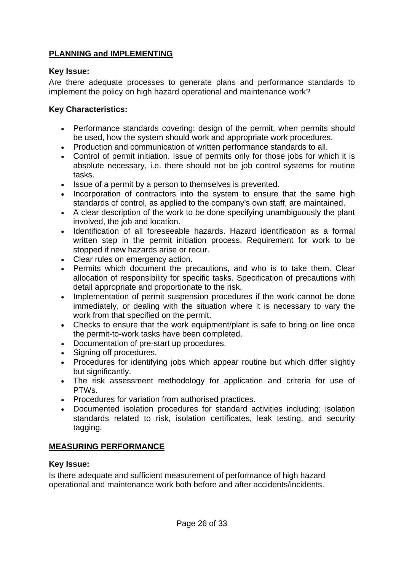# **PLANNING and IMPLEMENTING**

# **Key Issue:**

Are there adequate processes to generate plans and performance standards to implement the policy on high hazard operational and maintenance work?

### **Key Characteristics:**

- Performance standards covering: design of the permit, when permits should be used, how the system should work and appropriate work procedures.
- Production and communication of written performance standards to all.
- Control of permit initiation. Issue of permits only for those jobs for which it is absolute necessary, i.e. there should not be job control systems for routine tasks.
- Issue of a permit by a person to themselves is prevented.
- Incorporation of contractors into the system to ensure that the same high standards of control, as applied to the company's own staff, are maintained.
- A clear description of the work to be done specifying unambiguously the plant involved, the job and location.
- Identification of all foreseeable hazards. Hazard identification as a formal written step in the permit initiation process. Requirement for work to be stopped if new hazards arise or recur.
- Clear rules on emergency action.
- Permits which document the precautions, and who is to take them. Clear allocation of responsibility for specific tasks. Specification of precautions with detail appropriate and proportionate to the risk.
- Implementation of permit suspension procedures if the work cannot be done immediately, or dealing with the situation where it is necessary to vary the work from that specified on the permit.
- Checks to ensure that the work equipment/plant is safe to bring on line once the permit-to-work tasks have been completed.
- Documentation of pre-start up procedures.
- Signing off procedures.
- Procedures for identifying jobs which appear routine but which differ slightly but significantly.
- The risk assessment methodology for application and criteria for use of PTWs.
- Procedures for variation from authorised practices.
- Documented isolation procedures for standard activities including; isolation standards related to risk, isolation certificates, leak testing, and security tagging.

# **MEASURING PERFORMANCE**

# **Key Issue:**

Is there adequate and sufficient measurement of performance of high hazard operational and maintenance work both before and after accidents/incidents.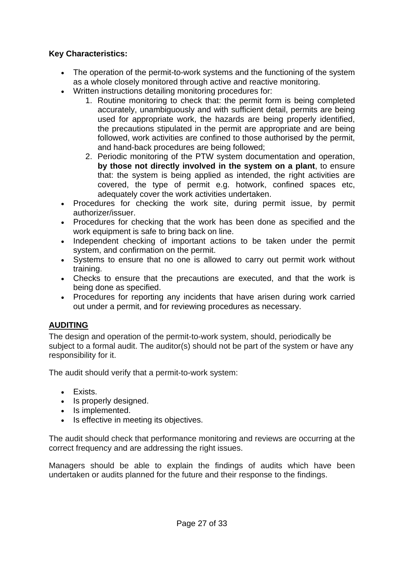# **Key Characteristics:**

- The operation of the permit-to-work systems and the functioning of the system as a whole closely monitored through active and reactive monitoring.
- Written instructions detailing monitoring procedures for:
	- 1. Routine monitoring to check that: the permit form is being completed accurately, unambiguously and with sufficient detail, permits are being used for appropriate work, the hazards are being properly identified, the precautions stipulated in the permit are appropriate and are being followed, work activities are confined to those authorised by the permit, and hand-back procedures are being followed;
	- 2. Periodic monitoring of the PTW system documentation and operation, **by those not directly involved in the system on a plant**, to ensure that: the system is being applied as intended, the right activities are covered, the type of permit e.g. hotwork, confined spaces etc, adequately cover the work activities undertaken.
- Procedures for checking the work site, during permit issue, by permit authorizer/issuer.
- Procedures for checking that the work has been done as specified and the work equipment is safe to bring back on line.
- Independent checking of important actions to be taken under the permit system, and confirmation on the permit.
- Systems to ensure that no one is allowed to carry out permit work without training.
- Checks to ensure that the precautions are executed, and that the work is being done as specified.
- Procedures for reporting any incidents that have arisen during work carried out under a permit, and for reviewing procedures as necessary.

# **AUDITING**

The design and operation of the permit-to-work system, should, periodically be subject to a formal audit. The auditor(s) should not be part of the system or have any responsibility for it.

The audit should verify that a permit-to-work system:

- Exists.
- Is properly designed.
- Is implemented.
- Is effective in meeting its objectives.

The audit should check that performance monitoring and reviews are occurring at the correct frequency and are addressing the right issues.

Managers should be able to explain the findings of audits which have been undertaken or audits planned for the future and their response to the findings.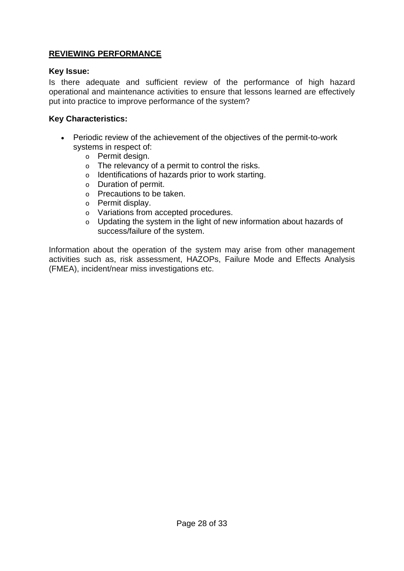# **REVIEWING PERFORMANCE**

### **Key Issue:**

Is there adequate and sufficient review of the performance of high hazard operational and maintenance activities to ensure that lessons learned are effectively put into practice to improve performance of the system?

### **Key Characteristics:**

- Periodic review of the achievement of the objectives of the permit-to-work systems in respect of:
	- o Permit design.
	- o The relevancy of a permit to control the risks.
	- o Identifications of hazards prior to work starting.
	- o Duration of permit.
	- o Precautions to be taken.
	- o Permit display.
	- o Variations from accepted procedures.
	- o Updating the system in the light of new information about hazards of success/failure of the system.

Information about the operation of the system may arise from other management activities such as, risk assessment, HAZOPs, Failure Mode and Effects Analysis (FMEA), incident/near miss investigations etc.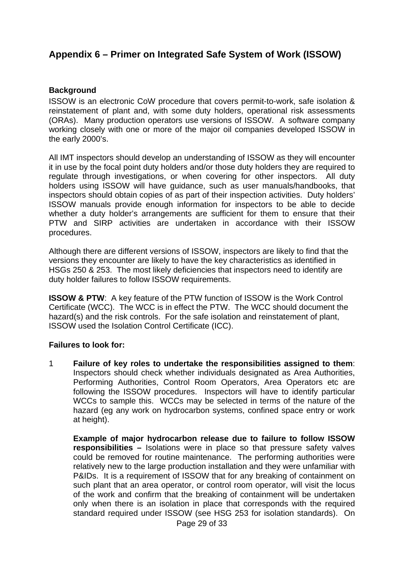# <span id="page-28-0"></span>**Appendix 6 – Primer on Integrated Safe System of Work (ISSOW)**

### **Background**

ISSOW is an electronic CoW procedure that covers permit-to-work, safe isolation & reinstatement of plant and, with some duty holders, operational risk assessments (ORAs). Many production operators use versions of ISSOW. A software company working closely with one or more of the major oil companies developed ISSOW in the early 2000's.

All IMT inspectors should develop an understanding of ISSOW as they will encounter it in use by the focal point duty holders and/or those duty holders they are required to regulate through investigations, or when covering for other inspectors. All duty holders using ISSOW will have guidance, such as user manuals/handbooks, that inspectors should obtain copies of as part of their inspection activities. Duty holders' ISSOW manuals provide enough information for inspectors to be able to decide whether a duty holder's arrangements are sufficient for them to ensure that their PTW and SIRP activities are undertaken in accordance with their ISSOW procedures.

Although there are different versions of ISSOW, inspectors are likely to find that the versions they encounter are likely to have the key characteristics as identified in HSGs 250 & 253. The most likely deficiencies that inspectors need to identify are duty holder failures to follow ISSOW requirements.

**ISSOW & PTW**: A key feature of the PTW function of ISSOW is the Work Control Certificate (WCC). The WCC is in effect the PTW. The WCC should document the hazard(s) and the risk controls. For the safe isolation and reinstatement of plant, ISSOW used the Isolation Control Certificate (ICC).

#### **Failures to look for:**

1 **Failure of key roles to undertake the responsibilities assigned to them**: Inspectors should check whether individuals designated as Area Authorities, Performing Authorities, Control Room Operators, Area Operators etc are following the ISSOW procedures. Inspectors will have to identify particular WCCs to sample this. WCCs may be selected in terms of the nature of the hazard (eg any work on hydrocarbon systems, confined space entry or work at height).

**Example of major hydrocarbon release due to failure to follow ISSOW responsibilities –** Isolations were in place so that pressure safety valves could be removed for routine maintenance. The performing authorities were relatively new to the large production installation and they were unfamiliar with P&IDs. It is a requirement of ISSOW that for any breaking of containment on such plant that an area operator, or control room operator, will visit the locus of the work and confirm that the breaking of containment will be undertaken only when there is an isolation in place that corresponds with the required standard required under ISSOW (see HSG 253 for isolation standards). On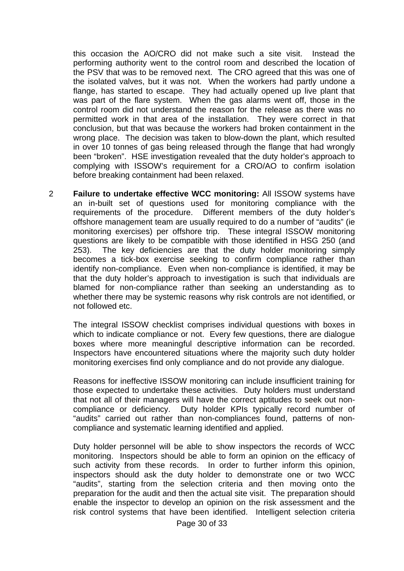this occasion the AO/CRO did not make such a site visit. Instead the performing authority went to the control room and described the location of the PSV that was to be removed next. The CRO agreed that this was one of the isolated valves, but it was not. When the workers had partly undone a flange, has started to escape. They had actually opened up live plant that was part of the flare system. When the gas alarms went off, those in the control room did not understand the reason for the release as there was no permitted work in that area of the installation. They were correct in that conclusion, but that was because the workers had broken containment in the wrong place. The decision was taken to blow-down the plant, which resulted in over 10 tonnes of gas being released through the flange that had wrongly been "broken". HSE investigation revealed that the duty holder's approach to complying with ISSOW's requirement for a CRO/AO to confirm isolation before breaking containment had been relaxed.

2 **Failure to undertake effective WCC monitoring:** All ISSOW systems have an in-built set of questions used for monitoring compliance with the requirements of the procedure. Different members of the duty holder's offshore management team are usually required to do a number of "audits" (ie monitoring exercises) per offshore trip. These integral ISSOW monitoring questions are likely to be compatible with those identified in HSG 250 (and 253). The key deficiencies are that the duty holder monitoring simply becomes a tick-box exercise seeking to confirm compliance rather than identify non-compliance. Even when non-compliance is identified, it may be that the duty holder's approach to investigation is such that individuals are blamed for non-compliance rather than seeking an understanding as to whether there may be systemic reasons why risk controls are not identified, or not followed etc.

The integral ISSOW checklist comprises individual questions with boxes in which to indicate compliance or not. Every few questions, there are dialogue boxes where more meaningful descriptive information can be recorded. Inspectors have encountered situations where the majority such duty holder monitoring exercises find only compliance and do not provide any dialogue.

Reasons for ineffective ISSOW monitoring can include insufficient training for those expected to undertake these activities. Duty holders must understand that not all of their managers will have the correct aptitudes to seek out noncompliance or deficiency. Duty holder KPIs typically record number of "audits" carried out rather than non-compliances found, patterns of noncompliance and systematic learning identified and applied.

Duty holder personnel will be able to show inspectors the records of WCC monitoring. Inspectors should be able to form an opinion on the efficacy of such activity from these records. In order to further inform this opinion, inspectors should ask the duty holder to demonstrate one or two WCC "audits", starting from the selection criteria and then moving onto the preparation for the audit and then the actual site visit. The preparation should enable the inspector to develop an opinion on the risk assessment and the risk control systems that have been identified. Intelligent selection criteria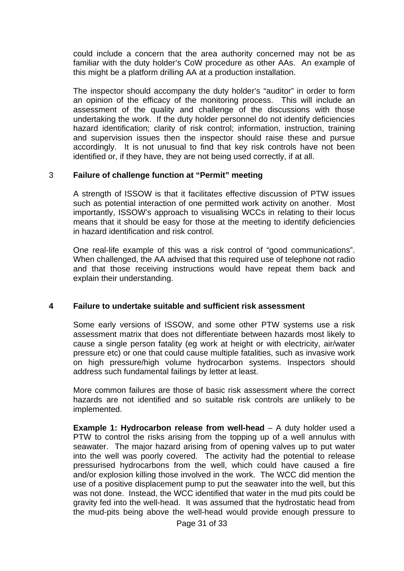could include a concern that the area authority concerned may not be as familiar with the duty holder's CoW procedure as other AAs. An example of this might be a platform drilling AA at a production installation.

The inspector should accompany the duty holder's "auditor" in order to form an opinion of the efficacy of the monitoring process. This will include an assessment of the quality and challenge of the discussions with those undertaking the work. If the duty holder personnel do not identify deficiencies hazard identification; clarity of risk control; information, instruction, training and supervision issues then the inspector should raise these and pursue accordingly. It is not unusual to find that key risk controls have not been identified or, if they have, they are not being used correctly, if at all.

### 3 **Failure of challenge function at "Permit" meeting**

A strength of ISSOW is that it facilitates effective discussion of PTW issues such as potential interaction of one permitted work activity on another. Most importantly, ISSOW's approach to visualising WCCs in relating to their locus means that it should be easy for those at the meeting to identify deficiencies in hazard identification and risk control.

One real-life example of this was a risk control of "good communications". When challenged, the AA advised that this required use of telephone not radio and that those receiving instructions would have repeat them back and explain their understanding.

#### **4 Failure to undertake suitable and sufficient risk assessment**

Some early versions of ISSOW, and some other PTW systems use a risk assessment matrix that does not differentiate between hazards most likely to cause a single person fatality (eg work at height or with electricity, air/water pressure etc) or one that could cause multiple fatalities, such as invasive work on high pressure/high volume hydrocarbon systems. Inspectors should address such fundamental failings by letter at least.

More common failures are those of basic risk assessment where the correct hazards are not identified and so suitable risk controls are unlikely to be implemented.

**Example 1: Hydrocarbon release from well-head** – A duty holder used a PTW to control the risks arising from the topping up of a well annulus with seawater. The major hazard arising from of opening valves up to put water into the well was poorly covered. The activity had the potential to release pressurised hydrocarbons from the well, which could have caused a fire and/or explosion killing those involved in the work. The WCC did mention the use of a positive displacement pump to put the seawater into the well, but this was not done. Instead, the WCC identified that water in the mud pits could be gravity fed into the well-head. It was assumed that the hydrostatic head from the mud-pits being above the well-head would provide enough pressure to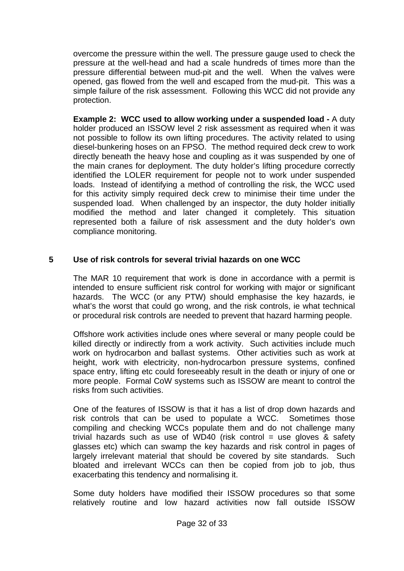overcome the pressure within the well. The pressure gauge used to check the pressure at the well-head and had a scale hundreds of times more than the pressure differential between mud-pit and the well. When the valves were opened, gas flowed from the well and escaped from the mud-pit. This was a simple failure of the risk assessment. Following this WCC did not provide any protection.

**Example 2: WCC used to allow working under a suspended load - A duty** holder produced an ISSOW level 2 risk assessment as required when it was not possible to follow its own lifting procedures. The activity related to using diesel-bunkering hoses on an FPSO. The method required deck crew to work directly beneath the heavy hose and coupling as it was suspended by one of the main cranes for deployment. The duty holder's lifting procedure correctly identified the LOLER requirement for people not to work under suspended loads. Instead of identifying a method of controlling the risk, the WCC used for this activity simply required deck crew to minimise their time under the suspended load. When challenged by an inspector, the duty holder initially modified the method and later changed it completely. This situation represented both a failure of risk assessment and the duty holder's own compliance monitoring.

# **5 Use of risk controls for several trivial hazards on one WCC**

The MAR 10 requirement that work is done in accordance with a permit is intended to ensure sufficient risk control for working with major or significant hazards. The WCC (or any PTW) should emphasise the key hazards, ie what's the worst that could go wrong, and the risk controls, ie what technical or procedural risk controls are needed to prevent that hazard harming people.

Offshore work activities include ones where several or many people could be killed directly or indirectly from a work activity. Such activities include much work on hydrocarbon and ballast systems. Other activities such as work at height, work with electricity, non-hydrocarbon pressure systems, confined space entry, lifting etc could foreseeably result in the death or injury of one or more people. Formal CoW systems such as ISSOW are meant to control the risks from such activities.

One of the features of ISSOW is that it has a list of drop down hazards and risk controls that can be used to populate a WCC. Sometimes those compiling and checking WCCs populate them and do not challenge many trivial hazards such as use of WD40 (risk control = use gloves  $\&$  safety glasses etc) which can swamp the key hazards and risk control in pages of largely irrelevant material that should be covered by site standards. Such bloated and irrelevant WCCs can then be copied from job to job, thus exacerbating this tendency and normalising it.

Some duty holders have modified their ISSOW procedures so that some relatively routine and low hazard activities now fall outside ISSOW